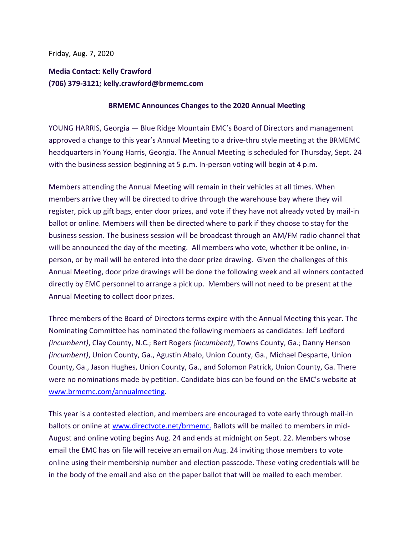Friday, Aug. 7, 2020

## **Media Contact: Kelly Crawford (706) 379-3121; kelly.crawford@brmemc.com**

## **BRMEMC Announces Changes to the 2020 Annual Meeting**

YOUNG HARRIS, Georgia — Blue Ridge Mountain EMC's Board of Directors and management approved a change to this year's Annual Meeting to a drive-thru style meeting at the BRMEMC headquarters in Young Harris, Georgia. The Annual Meeting is scheduled for Thursday, Sept. 24 with the business session beginning at 5 p.m. In-person voting will begin at 4 p.m.

Members attending the Annual Meeting will remain in their vehicles at all times. When members arrive they will be directed to drive through the warehouse bay where they will register, pick up gift bags, enter door prizes, and vote if they have not already voted by mail-in ballot or online. Members will then be directed where to park if they choose to stay for the business session. The business session will be broadcast through an AM/FM radio channel that will be announced the day of the meeting. All members who vote, whether it be online, inperson, or by mail will be entered into the door prize drawing. Given the challenges of this Annual Meeting, door prize drawings will be done the following week and all winners contacted directly by EMC personnel to arrange a pick up. Members will not need to be present at the Annual Meeting to collect door prizes.

Three members of the Board of Directors terms expire with the Annual Meeting this year. The Nominating Committee has nominated the following members as candidates: Jeff Ledford *(incumbent)*, Clay County, N.C.; Bert Rogers *(incumbent)*, Towns County, Ga.; Danny Henson *(incumbent)*, Union County, Ga., Agustin Abalo, Union County, Ga., Michael Desparte, Union County, Ga., Jason Hughes, Union County, Ga., and Solomon Patrick, Union County, Ga. There were no nominations made by petition. Candidate bios can be found on the EMC's website at [www.brmemc.com/annualmeeting.](http://www.brmemc.com/annualmeeting)

This year is a contested election, and members are encouraged to vote early through mail-in ballots or online at [www.directvote.net/brmemc.](http://www.directvote.net/brmemc) Ballots will be mailed to members in mid-August and online voting begins Aug. 24 and ends at midnight on Sept. 22. Members whose email the EMC has on file will receive an email on Aug. 24 inviting those members to vote online using their membership number and election passcode. These voting credentials will be in the body of the email and also on the paper ballot that will be mailed to each member.